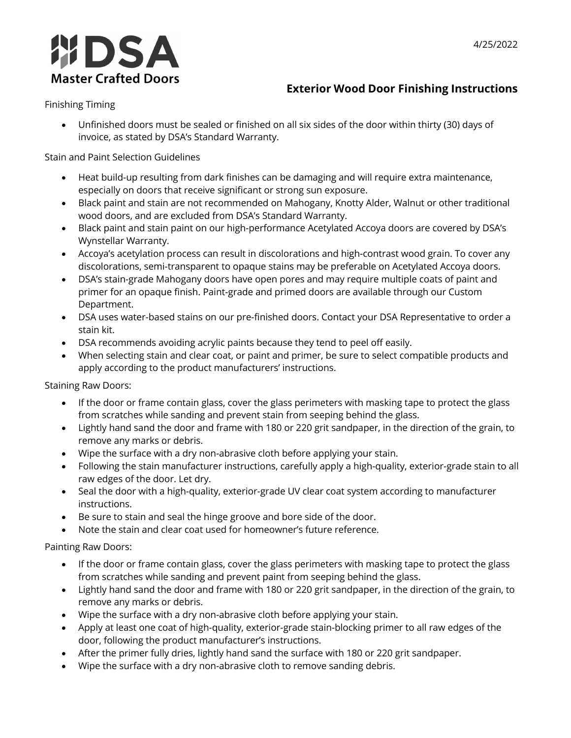

## **Exterior Wood Door Finishing Instructions**

Finishing Timing

• Unfinished doors must be sealed or finished on all six sides of the door within thirty (30) days of invoice, as stated by DSA's Standard Warranty.

Stain and Paint Selection Guidelines

- Heat build-up resulting from dark finishes can be damaging and will require extra maintenance, especially on doors that receive significant or strong sun exposure.
- Black paint and stain are not recommended on Mahogany, Knotty Alder, Walnut or other traditional wood doors, and are excluded from DSA's Standard Warranty.
- Black paint and stain paint on our high-performance Acetylated Accoya doors are covered by DSA's Wynstellar Warranty.
- Accoya's acetylation process can result in discolorations and high-contrast wood grain. To cover any discolorations, semi-transparent to opaque stains may be preferable on Acetylated Accoya doors.
- DSA's stain-grade Mahogany doors have open pores and may require multiple coats of paint and primer for an opaque finish. Paint-grade and primed doors are available through our Custom Department.
- DSA uses water-based stains on our pre-finished doors. Contact your DSA Representative to order a stain kit.
- DSA recommends avoiding acrylic paints because they tend to peel off easily.
- When selecting stain and clear coat, or paint and primer, be sure to select compatible products and apply according to the product manufacturers' instructions.

Staining Raw Doors:

- If the door or frame contain glass, cover the glass perimeters with masking tape to protect the glass from scratches while sanding and prevent stain from seeping behind the glass.
- Lightly hand sand the door and frame with 180 or 220 grit sandpaper, in the direction of the grain, to remove any marks or debris.
- Wipe the surface with a dry non-abrasive cloth before applying your stain.
- Following the stain manufacturer instructions, carefully apply a high-quality, exterior-grade stain to all raw edges of the door. Let dry.
- Seal the door with a high-quality, exterior-grade UV clear coat system according to manufacturer instructions.
- Be sure to stain and seal the hinge groove and bore side of the door.
- Note the stain and clear coat used for homeowner's future reference.

Painting Raw Doors:

- If the door or frame contain glass, cover the glass perimeters with masking tape to protect the glass from scratches while sanding and prevent paint from seeping behind the glass.
- Lightly hand sand the door and frame with 180 or 220 grit sandpaper, in the direction of the grain, to remove any marks or debris.
- Wipe the surface with a dry non-abrasive cloth before applying your stain.
- Apply at least one coat of high-quality, exterior-grade stain-blocking primer to all raw edges of the door, following the product manufacturer's instructions.
- After the primer fully dries, lightly hand sand the surface with 180 or 220 grit sandpaper.
- Wipe the surface with a dry non-abrasive cloth to remove sanding debris.